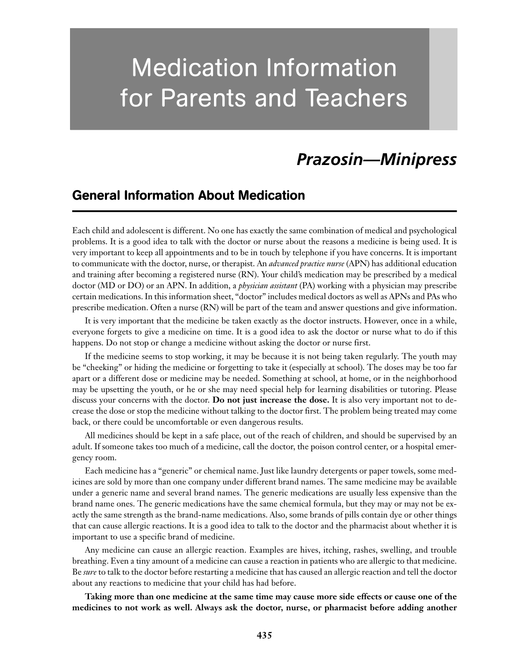# Medication Information for Parents and Teachers

# *Prazosin—Minipress*

#### **General Information About Medication**

Each child and adolescent is different. No one has exactly the same combination of medical and psychological problems. It is a good idea to talk with the doctor or nurse about the reasons a medicine is being used. It is very important to keep all appointments and to be in touch by telephone if you have concerns. It is important to communicate with the doctor, nurse, or therapist. An *advanced practice nurse* (APN) has additional education and training after becoming a registered nurse (RN). Your child's medication may be prescribed by a medical doctor (MD or DO) or an APN. In addition, a *physician assistant* (PA) working with a physician may prescribe certain medications. In this information sheet, "doctor" includes medical doctors as well as APNs and PAs who prescribe medication. Often a nurse (RN) will be part of the team and answer questions and give information.

It is very important that the medicine be taken exactly as the doctor instructs. However, once in a while, everyone forgets to give a medicine on time. It is a good idea to ask the doctor or nurse what to do if this happens. Do not stop or change a medicine without asking the doctor or nurse first.

If the medicine seems to stop working, it may be because it is not being taken regularly. The youth may be "cheeking" or hiding the medicine or forgetting to take it (especially at school). The doses may be too far apart or a different dose or medicine may be needed. Something at school, at home, or in the neighborhood may be upsetting the youth, or he or she may need special help for learning disabilities or tutoring. Please discuss your concerns with the doctor. **Do not just increase the dose.** It is also very important not to decrease the dose or stop the medicine without talking to the doctor first. The problem being treated may come back, or there could be uncomfortable or even dangerous results.

All medicines should be kept in a safe place, out of the reach of children, and should be supervised by an adult. If someone takes too much of a medicine, call the doctor, the poison control center, or a hospital emergency room.

Each medicine has a "generic" or chemical name. Just like laundry detergents or paper towels, some medicines are sold by more than one company under different brand names. The same medicine may be available under a generic name and several brand names. The generic medications are usually less expensive than the brand name ones. The generic medications have the same chemical formula, but they may or may not be exactly the same strength as the brand-name medications. Also, some brands of pills contain dye or other things that can cause allergic reactions. It is a good idea to talk to the doctor and the pharmacist about whether it is important to use a specific brand of medicine.

Any medicine can cause an allergic reaction. Examples are hives, itching, rashes, swelling, and trouble breathing. Even a tiny amount of a medicine can cause a reaction in patients who are allergic to that medicine. Be *sure* to talk to the doctor before restarting a medicine that has caused an allergic reaction and tell the doctor about any reactions to medicine that your child has had before.

**Taking more than one medicine at the same time may cause more side effects or cause one of the medicines to not work as well. Always ask the doctor, nurse, or pharmacist before adding another**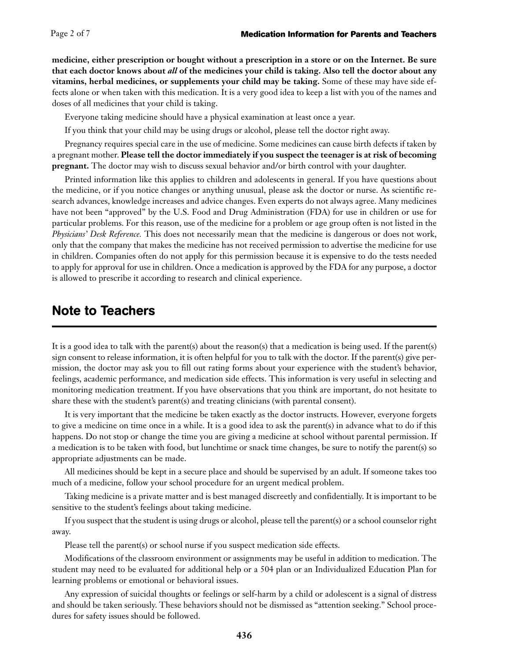**medicine, either prescription or bought without a prescription in a store or on the Internet. Be sure that each doctor knows about** *all* **of the medicines your child is taking. Also tell the doctor about any vitamins, herbal medicines, or supplements your child may be taking.** Some of these may have side effects alone or when taken with this medication. It is a very good idea to keep a list with you of the names and doses of all medicines that your child is taking.

Everyone taking medicine should have a physical examination at least once a year.

If you think that your child may be using drugs or alcohol, please tell the doctor right away.

Pregnancy requires special care in the use of medicine. Some medicines can cause birth defects if taken by a pregnant mother. **Please tell the doctor immediately if you suspect the teenager is at risk of becoming pregnant.** The doctor may wish to discuss sexual behavior and/or birth control with your daughter.

Printed information like this applies to children and adolescents in general. If you have questions about the medicine, or if you notice changes or anything unusual, please ask the doctor or nurse. As scientific research advances, knowledge increases and advice changes. Even experts do not always agree. Many medicines have not been "approved" by the U.S. Food and Drug Administration (FDA) for use in children or use for particular problems. For this reason, use of the medicine for a problem or age group often is not listed in the *Physicians' Desk Reference.* This does not necessarily mean that the medicine is dangerous or does not work, only that the company that makes the medicine has not received permission to advertise the medicine for use in children. Companies often do not apply for this permission because it is expensive to do the tests needed to apply for approval for use in children. Once a medication is approved by the FDA for any purpose, a doctor is allowed to prescribe it according to research and clinical experience.

#### **Note to Teachers**

It is a good idea to talk with the parent(s) about the reason(s) that a medication is being used. If the parent(s) sign consent to release information, it is often helpful for you to talk with the doctor. If the parent(s) give permission, the doctor may ask you to fill out rating forms about your experience with the student's behavior, feelings, academic performance, and medication side effects. This information is very useful in selecting and monitoring medication treatment. If you have observations that you think are important, do not hesitate to share these with the student's parent(s) and treating clinicians (with parental consent).

It is very important that the medicine be taken exactly as the doctor instructs. However, everyone forgets to give a medicine on time once in a while. It is a good idea to ask the parent(s) in advance what to do if this happens. Do not stop or change the time you are giving a medicine at school without parental permission. If a medication is to be taken with food, but lunchtime or snack time changes, be sure to notify the parent(s) so appropriate adjustments can be made.

All medicines should be kept in a secure place and should be supervised by an adult. If someone takes too much of a medicine, follow your school procedure for an urgent medical problem.

Taking medicine is a private matter and is best managed discreetly and confidentially. It is important to be sensitive to the student's feelings about taking medicine.

If you suspect that the student is using drugs or alcohol, please tell the parent(s) or a school counselor right away.

Please tell the parent(s) or school nurse if you suspect medication side effects.

Modifications of the classroom environment or assignments may be useful in addition to medication. The student may need to be evaluated for additional help or a 504 plan or an Individualized Education Plan for learning problems or emotional or behavioral issues.

Any expression of suicidal thoughts or feelings or self-harm by a child or adolescent is a signal of distress and should be taken seriously. These behaviors should not be dismissed as "attention seeking." School procedures for safety issues should be followed.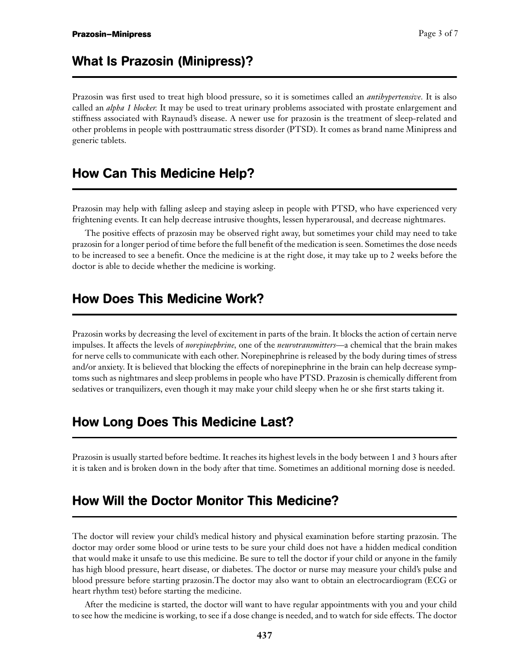#### **What Is Prazosin (Minipress)?**

Prazosin was first used to treat high blood pressure, so it is sometimes called an *antihypertensive.* It is also called an *alpha 1 blocker.* It may be used to treat urinary problems associated with prostate enlargement and stiffness associated with Raynaud's disease. A newer use for prazosin is the treatment of sleep-related and other problems in people with posttraumatic stress disorder (PTSD). It comes as brand name Minipress and generic tablets.

#### **How Can This Medicine Help?**

Prazosin may help with falling asleep and staying asleep in people with PTSD, who have experienced very frightening events. It can help decrease intrusive thoughts, lessen hyperarousal, and decrease nightmares.

The positive effects of prazosin may be observed right away, but sometimes your child may need to take prazosin for a longer period of time before the full benefit of the medication is seen. Sometimes the dose needs to be increased to see a benefit. Once the medicine is at the right dose, it may take up to 2 weeks before the doctor is able to decide whether the medicine is working.

## **How Does This Medicine Work?**

Prazosin works by decreasing the level of excitement in parts of the brain. It blocks the action of certain nerve impulses. It affects the levels of *norepinephrine,* one of the *neurotransmitters*—a chemical that the brain makes for nerve cells to communicate with each other. Norepinephrine is released by the body during times of stress and/or anxiety. It is believed that blocking the effects of norepinephrine in the brain can help decrease symptoms such as nightmares and sleep problems in people who have PTSD. Prazosin is chemically different from sedatives or tranquilizers, even though it may make your child sleepy when he or she first starts taking it.

## **How Long Does This Medicine Last?**

Prazosin is usually started before bedtime. It reaches its highest levels in the body between 1 and 3 hours after it is taken and is broken down in the body after that time. Sometimes an additional morning dose is needed.

## **How Will the Doctor Monitor This Medicine?**

The doctor will review your child's medical history and physical examination before starting prazosin. The doctor may order some blood or urine tests to be sure your child does not have a hidden medical condition that would make it unsafe to use this medicine. Be sure to tell the doctor if your child or anyone in the family has high blood pressure, heart disease, or diabetes. The doctor or nurse may measure your child's pulse and blood pressure before starting prazosin.The doctor may also want to obtain an electrocardiogram (ECG or heart rhythm test) before starting the medicine.

After the medicine is started, the doctor will want to have regular appointments with you and your child to see how the medicine is working, to see if a dose change is needed, and to watch for side effects. The doctor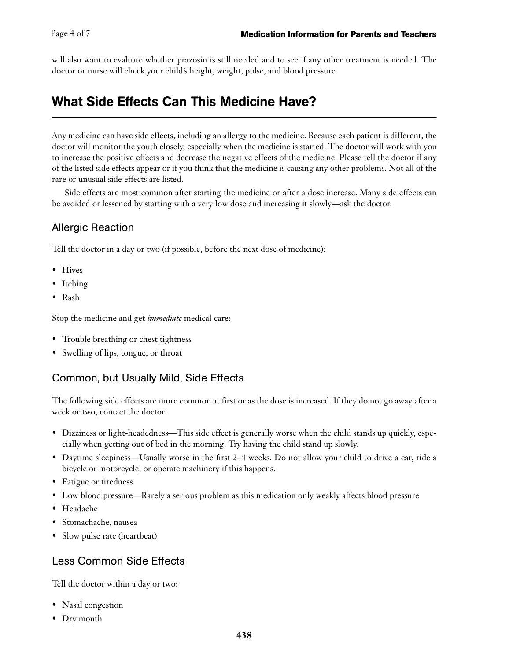will also want to evaluate whether prazosin is still needed and to see if any other treatment is needed. The doctor or nurse will check your child's height, weight, pulse, and blood pressure.

## **What Side Effects Can This Medicine Have?**

Any medicine can have side effects, including an allergy to the medicine. Because each patient is different, the doctor will monitor the youth closely, especially when the medicine is started. The doctor will work with you to increase the positive effects and decrease the negative effects of the medicine. Please tell the doctor if any of the listed side effects appear or if you think that the medicine is causing any other problems. Not all of the rare or unusual side effects are listed.

Side effects are most common after starting the medicine or after a dose increase. Many side effects can be avoided or lessened by starting with a very low dose and increasing it slowly—ask the doctor.

#### Allergic Reaction

Tell the doctor in a day or two (if possible, before the next dose of medicine):

- Hives
- Itching
- Rash

Stop the medicine and get *immediate* medical care:

- Trouble breathing or chest tightness
- Swelling of lips, tongue, or throat

#### Common, but Usually Mild, Side Effects

The following side effects are more common at first or as the dose is increased. If they do not go away after a week or two, contact the doctor:

- Dizziness or light-headedness—This side effect is generally worse when the child stands up quickly, especially when getting out of bed in the morning. Try having the child stand up slowly.
- Daytime sleepiness—Usually worse in the first 2–4 weeks. Do not allow your child to drive a car, ride a bicycle or motorcycle, or operate machinery if this happens.
- Fatigue or tiredness
- Low blood pressure—Rarely a serious problem as this medication only weakly affects blood pressure
- Headache
- Stomachache, nausea
- Slow pulse rate (heartbeat)

#### Less Common Side Effects

Tell the doctor within a day or two:

- Nasal congestion
- Dry mouth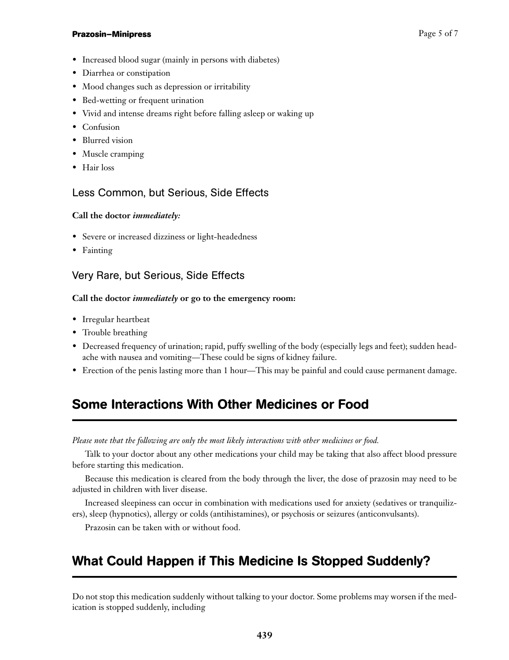#### **Prazosin—Minipress**

- Increased blood sugar (mainly in persons with diabetes)
- Diarrhea or constipation
- Mood changes such as depression or irritability
- Bed-wetting or frequent urination
- Vivid and intense dreams right before falling asleep or waking up
- Confusion
- Blurred vision
- Muscle cramping
- Hair loss

#### Less Common, but Serious, Side Effects

#### **Call the doctor** *immediately:*

- Severe or increased dizziness or light-headedness
- Fainting

#### Very Rare, but Serious, Side Effects

#### **Call the doctor** *immediately* **or go to the emergency room:**

- Irregular heartbeat
- Trouble breathing
- Decreased frequency of urination; rapid, puffy swelling of the body (especially legs and feet); sudden headache with nausea and vomiting—These could be signs of kidney failure.
- Erection of the penis lasting more than 1 hour—This may be painful and could cause permanent damage.

## **Some Interactions With Other Medicines or Food**

*Please note that the following are only the most likely interactions with other medicines or food.*

Talk to your doctor about any other medications your child may be taking that also affect blood pressure before starting this medication.

Because this medication is cleared from the body through the liver, the dose of prazosin may need to be adjusted in children with liver disease.

Increased sleepiness can occur in combination with medications used for anxiety (sedatives or tranquilizers), sleep (hypnotics), allergy or colds (antihistamines), or psychosis or seizures (anticonvulsants).

Prazosin can be taken with or without food.

# **What Could Happen if This Medicine Is Stopped Suddenly?**

Do not stop this medication suddenly without talking to your doctor. Some problems may worsen if the medication is stopped suddenly, including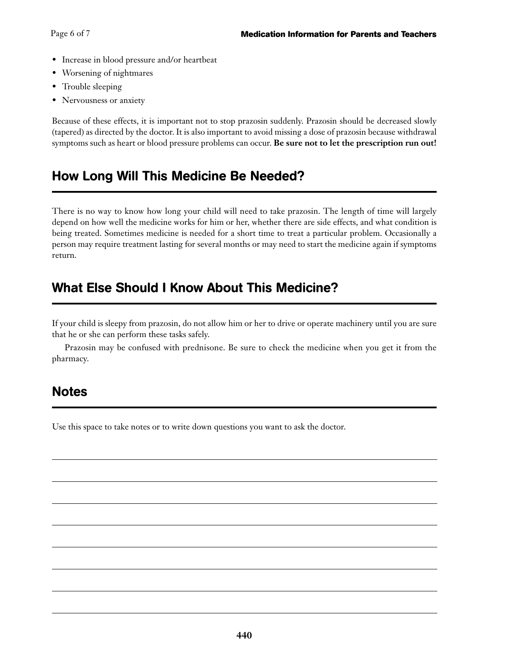- Increase in blood pressure and/or heartbeat
- Worsening of nightmares
- Trouble sleeping
- Nervousness or anxiety

Because of these effects, it is important not to stop prazosin suddenly. Prazosin should be decreased slowly (tapered) as directed by the doctor. It is also important to avoid missing a dose of prazosin because withdrawal symptoms such as heart or blood pressure problems can occur. **Be sure not to let the prescription run out!**

## **How Long Will This Medicine Be Needed?**

There is no way to know how long your child will need to take prazosin. The length of time will largely depend on how well the medicine works for him or her, whether there are side effects, and what condition is being treated. Sometimes medicine is needed for a short time to treat a particular problem. Occasionally a person may require treatment lasting for several months or may need to start the medicine again if symptoms return.

## **What Else Should I Know About This Medicine?**

If your child is sleepy from prazosin, do not allow him or her to drive or operate machinery until you are sure that he or she can perform these tasks safely.

Prazosin may be confused with prednisone. Be sure to check the medicine when you get it from the pharmacy.

## **Notes**

Use this space to take notes or to write down questions you want to ask the doctor.